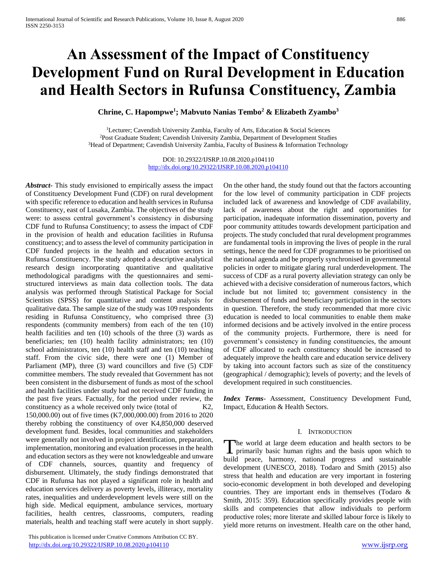# **An Assessment of the Impact of Constituency Development Fund on Rural Development in Education and Health Sectors in Rufunsa Constituency, Zambia**

**Chrine, C. Hapompwe<sup>1</sup> ; Mabvuto Nanias Tembo<sup>2</sup> & Elizabeth Zyambo<sup>3</sup>**

<sup>1</sup>Lecturer; Cavendish University Zambia, Faculty of Arts, Education & Social Sciences <sup>2</sup>Post Graduate Student; Cavendish University Zambia, Department of Development Studies <sup>3</sup>Head of Department; Cavendish University Zambia, Faculty of Business & Information Technology

> DOI: 10.29322/IJSRP.10.08.2020.p104110 <http://dx.doi.org/10.29322/IJSRP.10.08.2020.p104110>

*Abstract***-** This study envisioned to empirically assess the impact of Constituency Development Fund (CDF) on rural development with specific reference to education and health services in Rufunsa Constituency, east of Lusaka, Zambia. The objectives of the study were: to assess central government's consistency in disbursing CDF fund to Rufunsa Constituency; to assess the impact of CDF in the provision of health and education facilities in Rufunsa constituency; and to assess the level of community participation in CDF funded projects in the health and education sectors in Rufunsa Constituency. The study adopted a descriptive analytical research design incorporating quantitative and qualitative methodological paradigms with the questionnaires and semistructured interviews as main data collection tools. The data analysis was performed through Statistical Package for Social Scientists (SPSS) for quantitative and content analysis for qualitative data. The sample size of the study was 109 respondents residing in Rufunsa Constituency, who comprised three (3) respondents (community members) from each of the ten (10) health facilities and ten (10) schools of the three (3) wards as beneficiaries; ten (10) health facility administrators; ten (10) school administrators, ten (10) health staff and ten (10) teaching staff. From the civic side, there were one (1) Member of Parliament (MP), three (3) ward councillors and five (5) CDF committee members. The study revealed that Government has not been consistent in the disbursement of funds as most of the school and health facilities under study had not received CDF funding in the past five years. Factually, for the period under review, the constituency as a whole received only twice (total of K2, 150,000.00) out of five times (K7,000,000.00) from 2016 to 2020 thereby robbing the constituency of over K4,850,000 deserved development fund. Besides, local communities and stakeholders were generally not involved in project identification, preparation, implementation, monitoring and evaluation processes in the health and education sectors as they were not knowledgeable and unware of CDF channels, sources, quantity and frequency of disbursement. Ultimately, the study findings demonstrated that CDF in Rufunsa has not played a significant role in health and education services delivery as poverty levels, illiteracy, mortality rates, inequalities and underdevelopment levels were still on the high side. Medical equipment, ambulance services, mortuary facilities, health centres, classrooms, computers, reading materials, health and teaching staff were acutely in short supply.

 This publication is licensed under Creative Commons Attribution CC BY. <http://dx.doi.org/10.29322/IJSRP.10.08.2020.p104110> [www.ijsrp.org](http://ijsrp.org/)

On the other hand, the study found out that the factors accounting for the low level of community participation in CDF projects included lack of awareness and knowledge of CDF availability, lack of awareness about the right and opportunities for participation, inadequate information dissemination, poverty and poor community attitudes towards development participation and projects. The study concluded that rural development programmes are fundamental tools in improving the lives of people in the rural settings, hence the need for CDF programmes to be prioritised on the national agenda and be properly synchronised in governmental policies in order to mitigate glaring rural underdevelopment. The success of CDF as a rural poverty alleviation strategy can only be achieved with a decisive consideration of numerous factors, which include but not limited to; government consistency in the disbursement of funds and beneficiary participation in the sectors in question. Therefore, the study recommended that more civic education is needed to local communities to enable them make informed decisions and be actively involved in the entire process of the community projects. Furthermore, there is need for government's consistency in funding constituencies, the amount of CDF allocated to each constituency should be increased to adequately improve the health care and education service delivery by taking into account factors such as size of the constituency (geographical / demographic); levels of poverty; and the levels of development required in such constituencies.

*Index Terms*- Assessment, Constituency Development Fund, Impact, Education & Health Sectors.

#### I. INTRODUCTION

The world at large deem education and health sectors to be primarily basic human rights and the basis upon which to  $\blacktriangle$  primarily basic human rights and the basis upon which to build peace, harmony, national progress and sustainable development (UNESCO, 2018). Todaro and Smith (2015) also stress that health and education are very important in fostering socio-economic development in both developed and developing countries. They are important ends in themselves (Todaro & Smith, 2015: 359). Education specifically provides people with skills and competencies that allow individuals to perform productive roles; more literate and skilled labour force is likely to yield more returns on investment. Health care on the other hand,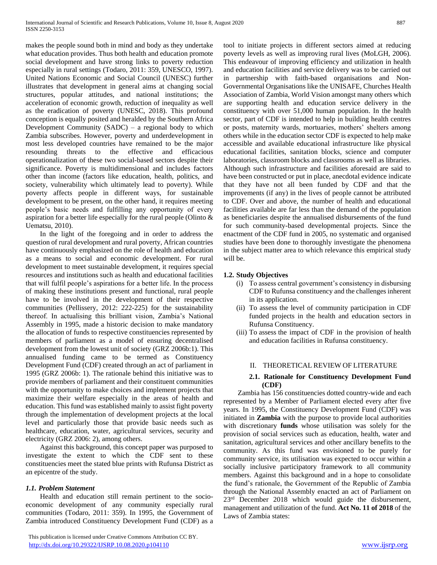makes the people sound both in mind and body as they undertake what education provides. Thus both health and education promote social development and have strong links to poverty reduction especially in rural settings (Todaro, 2011: 359, UNESCO, 1997). United Nations Economic and Social Council (UNESC) further illustrates that development in general aims at changing social structures, popular attitudes, and national institutions; the acceleration of economic growth, reduction of inequality as well as the eradication of poverty (UNESC, 2018). This profound conception is equally posited and heralded by the Southern Africa Development Community (SADC) – a regional body to which Zambia subscribes. However, poverty and underdevelopment in most less developed countries have remained to be the major resounding threats to the effective and efficacious operationalization of these two social-based sectors despite their significance. Poverty is multidimensional and includes factors other than income (factors like education, health, politics, and society, vulnerability which ultimately lead to poverty). While poverty affects people in different ways, for sustainable development to be present, on the other hand, it requires meeting people's basic needs and fulfilling any opportunity of every aspiration for a better life especially for the rural people (Olinto & Uematsu, 2010).

 In the light of the foregoing and in order to address the question of rural development and rural poverty, African countries have continuously emphasized on the role of health and education as a means to social and economic development. For rural development to meet sustainable development, it requires special resources and institutions such as health and educational facilities that will fulfil people's aspirations for a better life. In the process of making these institutions present and functional, rural people have to be involved in the development of their respective communities (Pellissery, 2012: 222-225) for the sustainability thereof. In actualising this brilliant vision, Zambia's National Assembly in 1995, made a historic decision to make mandatory the allocation of funds to respective constituencies represented by members of parliament as a model of ensuring decentralised development from the lowest unit of society (GRZ 2006b:1). This annualised funding came to be termed as Constituency Development Fund (CDF) created through an act of parliament in 1995 (GRZ 2006b: 1). The rationale behind this initiative was to provide members of parliament and their constituent communities with the opportunity to make choices and implement projects that maximize their welfare especially in the areas of health and education. This fund was established mainly to assist fight poverty through the implementation of development projects at the local level and particularly those that provide basic needs such as healthcare, education, water, agricultural services, security and electricity (GRZ 2006: 2), among others.

 Against this background, this concept paper was purposed to investigate the extent to which the CDF sent to these constituencies meet the stated blue prints with Rufunsa District as an epicentre of the study.

#### *1.1. Problem Statement*

 Health and education still remain pertinent to the socioeconomic development of any community especially rural communities (Todaro, 2011: 359). In 1995, the Government of Zambia introduced Constituency Development Fund (CDF) as a

 This publication is licensed under Creative Commons Attribution CC BY. <http://dx.doi.org/10.29322/IJSRP.10.08.2020.p104110> [www.ijsrp.org](http://ijsrp.org/)

tool to initiate projects in different sectors aimed at reducing poverty levels as well as improving rural lives (MoLGH, 2006). This endeavour of improving efficiency and utilization in health and education facilities and service delivery was to be carried out in partnership with faith-based organisations and Non-Governmental Organisations like the UNISAFE, Churches Health Association of Zambia, World Vision amongst many others which are supporting health and education service delivery in the constituency with over 51,000 human population. In the health sector, part of CDF is intended to help in building health centres or posts, maternity wards, mortuaries, mothers' shelters among others while in the education sector CDF is expected to help make accessible and available educational infrastructure like physical educational facilities, sanitation blocks, science and computer laboratories, classroom blocks and classrooms as well as libraries. Although such infrastructure and facilities aforesaid are said to have been constructed or put in place, anecdotal evidence indicate that they have not all been funded by CDF and that the improvements (if any) in the lives of people cannot be attributed to CDF. Over and above, the number of health and educational facilities available are far less than the demand of the population as beneficiaries despite the annualised disbursements of the fund for such community-based developmental projects. Since the enactment of the CDF fund in 2005, no systematic and organised studies have been done to thoroughly investigate the phenomena in the subject matter area to which relevance this empirical study will be.

# **1.2. Study Objectives**

- (i) To assess central government's consistency in disbursing CDF to Rufunsa constituency and the challenges inherent in its application.
- (ii) To assess the level of community participation in CDF funded projects in the health and education sectors in Rufunsa Constituency.
- (iii) To assess the impact of CDF in the provision of health and education facilities in Rufunsa constituency.

#### II. THEORETICAL REVIEW OF LITERATURE

#### **2.1. Rationale for Constituency Development Fund (CDF)**

 Zambia has 156 constituencies dotted country-wide and each represented by a Member of Parliament elected every after five years. In 1995, the Constituency Development Fund (CDF) was initiated in **Zambia** with the purpose to provide local authorities with discretionary **funds** whose utilisation was solely for the provision of social services such as education, health, water and sanitation, agricultural services and other ancillary benefits to the community. As this fund was envisioned to be purely for community service, its utilisation was expected to occur within a socially inclusive participatory framework to all community members. Against this background and in a hope to consolidate the fund's rationale, the Government of the Republic of Zambia through the National Assembly enacted an act of Parliament on 23<sup>rd</sup> December 2018 which would guide the disbursement, management and utilization of the fund. **Act No. 11 of 2018** of the Laws of Zambia states: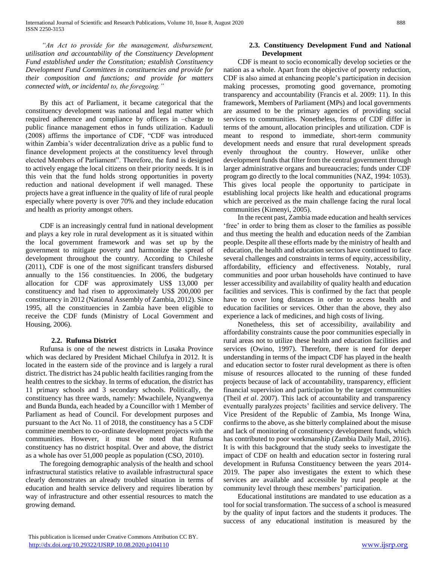*"An Act to provide for the management, disbursement, utilisation and accountability of the Constituency Development Fund established under the Constitution; establish Constituency Development Fund Committees in constituencies and provide for their composition and functions; and provide for matters connected with, or incidental to, the foregoing."* 

 By this act of Parliament, it became categorical that the constituency development was national and legal matter which required adherence and compliance by officers in –charge to public finance management ethos in funds utilization. Kaduuli (2008) affirms the importance of CDF, "CDF was introduced within Zambia's wider decentralization drive as a public fund to finance development projects at the constituency level through elected Members of Parliament". Therefore, the fund is designed to actively engage the local citizens on their priority needs. It is in this vein that the fund holds strong opportunities in poverty reduction and national development if well managed. These projects have a great influence in the quality of life of rural people especially where poverty is over 70% and they include education and health as priority amongst others.

 CDF is an increasingly central fund in national development and plays a key role in rural development as it is situated within the local government framework and was set up by the government to mitigate poverty and harmonize the spread of development throughout the country. According to Chileshe (2011), CDF is one of the most significant transfers disbursed annually to the 156 constituencies. In 2006, the budgetary allocation for CDF was approximately US\$ 13,000 per constituency and had risen to approximately US\$ 200,000 per constituency in 2012 (National Assembly of Zambia, 2012). Since 1995, all the constituencies in Zambia have been eligible to receive the CDF funds (Ministry of Local Government and Housing, 2006).

#### **2.2. Rufunsa District**

 Rufunsa is one of the newest districts in Lusaka Province which was declared by President Michael Chilufya in 2012. It is located in the eastern side of the province and is largely a rural district. The district has 24 public health facilities ranging from the health centres to the sickbay. In terms of education, the district has 11 primary schools and 3 secondary schools. Politically, the constituency has three wards, namely: Mwachilele, Nyangwenya and Bunda Bunda, each headed by a Councillor with 1 Member of Parliament as head of Council. For development purposes and pursuant to the Act No. 11 of 2018, the constituency has a 5 CDF committee members to co-ordinate development projects with the communities. However, it must be noted that Rufunsa constituency has no district hospital. Over and above, the district as a whole has over 51,000 people as population (CSO, 2010).

 The foregoing demographic analysis of the health and school infrastructural statistics relative to available infrastructural space clearly demonstrates an already troubled situation in terms of education and health service delivery and requires liberation by way of infrastructure and other essential resources to match the growing demand.

# **2.3. Constituency Development Fund and National Development**

 CDF is meant to socio economically develop societies or the nation as a whole. Apart from the objective of poverty reduction, CDF is also aimed at enhancing people's participation in decision making processes, promoting good governance, promoting transparency and accountability (Francis et al. 2009: 11). In this framework, Members of Parliament (MPs) and local governments are assumed to be the primary agencies of providing social services to communities. Nonetheless, forms of CDF differ in terms of the amount, allocation principles and utilization. CDF is meant to respond to immediate, short-term community development needs and ensure that rural development spreads evenly throughout the country. However, unlike other development funds that filter from the central government through larger administrative organs and bureaucracies; funds under CDF program go directly to the local communities (NAZ, 1994: 1053). This gives local people the opportunity to participate in establishing local projects like health and educational programs which are perceived as the main challenge facing the rural local communities (Kimenyi, 2005).

 In the recent past, Zambia made education and health services 'free' in order to bring them as closer to the families as possible and thus meeting the health and education needs of the Zambian people. Despite all these efforts made by the ministry of health and education, the health and education sectors have continued to face several challenges and constraints in terms of equity, accessibility, affordability, efficiency and effectiveness. Notably, rural communities and poor urban households have continued to have lesser accessibility and availability of quality health and education facilities and services. This is confirmed by the fact that people have to cover long distances in order to access health and education facilities or services. Other than the above, they also experience a lack of medicines, and high costs of living.

 Nonetheless, this set of accessibility, availability and affordability constraints cause the poor communities especially in rural areas not to utilize these health and education facilities and services (Owino, 1997). Therefore, there is need for deeper understanding in terms of the impact CDF has played in the health and education sector to foster rural development as there is often misuse of resources allocated to the running of these funded projects because of lack of accountability, transparency, efficient financial supervision and participation by the target communities (Theil *et al*. 2007). This lack of accountability and transparency eventually paralyzes projects' facilities and service delivery. The Vice President of the Republic of Zambia, Ms Inonge Wina, confirms to the above, as she bitterly complained about the misuse and lack of monitoring of constituency development funds, which has contributed to poor workmanship (Zambia Daily Mail, 2016). It is with this background that the study seeks to investigate the impact of CDF on health and education sector in fostering rural development in Rufunsa Constituency between the years 2014- 2019. The paper also investigates the extent to which these services are available and accessible by rural people at the community level through these members' participation.

 Educational institutions are mandated to use education as a tool for social transformation. The success of a school is measured by the quality of input factors and the students it produces. The success of any educational institution is measured by the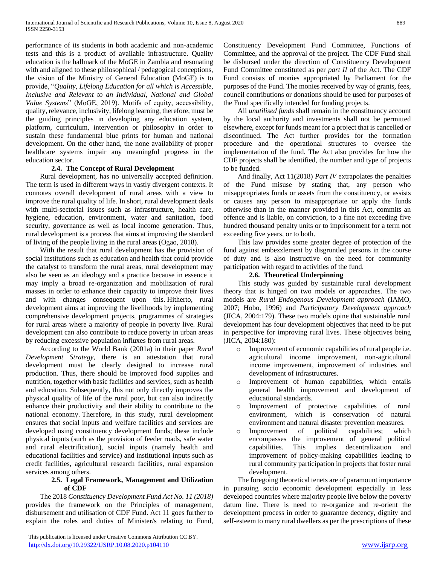performance of its students in both academic and non-academic tests and this is a product of available infrastructure. Quality education is the hallmark of the MoGE in Zambia and resonating with and aligned to these philosophical / pedagogical conceptions, the vision of the Ministry of General Education (MoGE) is to provide, "*Quality, Lifelong Education for all which is Accessible, Inclusive and Relevant to an Individual, National and Global Value Systems*" (MoGE, 2019). Motifs of equity, accessibility, quality, relevance, inclusivity, lifelong learning, therefore, must be the guiding principles in developing any education system, platform, curriculum, intervention or philosophy in order to sustain these fundamental blue prints for human and national development. On the other hand, the none availability of proper healthcare systems impair any meaningful progress in the education sector.

# **2.4. The Concept of Rural Development**

 Rural development, has no universally accepted definition. The term is used in different ways in vastly divergent contexts. It connotes overall development of rural areas with a view to improve the rural quality of life. In short, rural development deals with multi-sectorial issues such as infrastructure, health care, hygiene, education, environment, water and sanitation, food security, governance as well as local income generation. Thus, rural development is a process that aims at improving the standard of living of the people living in the rural areas (Ogao, 2018).

 With the result that rural development has the provision of social institutions such as education and health that could provide the catalyst to transform the rural areas, rural development may also be seen as an ideology and a practice because in essence it may imply a broad re-organization and mobilization of rural masses in order to enhance their capacity to improve their lives and with changes consequent upon this. Hitherto, rural development aims at improving the livelihoods by implementing comprehensive development projects, programmes of strategies for rural areas where a majority of people in poverty live. Rural development can also contribute to reduce poverty in urban areas by reducing excessive population influxes from rural areas.

 According to the World Bank (2001a) in their paper *Rural Development Strategy,* there is an attestation that rural development must be clearly designed to increase rural production. Thus, there should be improved food supplies and nutrition, together with basic facilities and services, such as health and education. Subsequently, this not only directly improves the physical quality of life of the rural poor, but can also indirectly enhance their productivity and their ability to contribute to the national economy. Therefore, in this study, rural development ensures that social inputs and welfare facilities and services are developed using constituency development funds; these include physical inputs (such as the provision of feeder roads, safe water and rural electrification), social inputs (namely health and educational facilities and service) and institutional inputs such as credit facilities, agricultural research facilities, rural expansion services among others.

#### **2.5. Legal Framework, Management and Utilization of CDF**

 The 2018 *Constituency Development Fund Act No. 11 (2018)* provides the framework on the Principles of management, disbursement and utilisation of CDF Fund. Act 11 goes further to explain the roles and duties of Minister/s relating to Fund,

 This publication is licensed under Creative Commons Attribution CC BY. <http://dx.doi.org/10.29322/IJSRP.10.08.2020.p104110> [www.ijsrp.org](http://ijsrp.org/)

Constituency Development Fund Committee, Functions of Committee, and the approval of the project. The CDF Fund shall be disbursed under the direction of Constituency Development Fund Committee constituted as per *part II* of the Act. The CDF Fund consists of monies appropriated by Parliament for the purposes of the Fund. The monies received by way of grants, fees, council contributions or donations should be used for purposes of the Fund specifically intended for funding projects.

 All *unutilised funds* shall remain in the constituency account by the local authority and investments shall not be permitted elsewhere, except for funds meant for a project that is cancelled or discontinued. The Act further provides for the formation procedure and the operational structures to oversee the implementation of the fund. The Act also provides for how the CDF projects shall be identified, the number and type of projects to be funded.

 And finally, Act 11(2018) *Part IV* extrapolates the penalties of the Fund misuse by stating that, any person who misappropriates funds or assets from the constituency, or assists or causes any person to misappropriate or apply the funds otherwise than in the manner provided in this Act, commits an offence and is liable, on conviction, to a fine not exceeding five hundred thousand penalty units or to imprisonment for a term not exceeding five years, or to both.

 This law provides some greater degree of protection of the fund against embezzlement by disgruntled persons in the course of duty and is also instructive on the need for community participation with regard to activities of the fund.

# **2.6. Theoretical Underpinning**

 This study was guided by sustainable rural development theory that is hinged on two models or approaches. The two models are *Rural Endogenous Development approach* (IAMO, 2007; Hobo, 1996) and *Participatory Development approach* (JICA, 2004:179). These two models opine that sustainable rural development has four development objectives that need to be put in perspective for improving rural lives. These objectives being (JICA, 2004:180):

- o Improvement of economic capabilities of rural people i.e. agricultural income improvement, non-agricultural income improvement, improvement of industries and development of infrastructures.
- Improvement of human capabilities, which entails general health improvement and development of educational standards.
- o Improvement of protective capabilities of rural environment, which is conservation of natural environment and natural disaster prevention measures.
- Improvement of political capabilities; which encompasses the improvement of general political capabilities. This implies decentralization and improvement of policy-making capabilities leading to rural community participation in projects that foster rural development.

 The foregoing theoretical tenets are of paramount importance in pursuing socio economic development especially in less developed countries where majority people live below the poverty datum line. There is need to re-organize and re-orient the development process in order to guarantee decency, dignity and self-esteem to many rural dwellers as per the prescriptions of these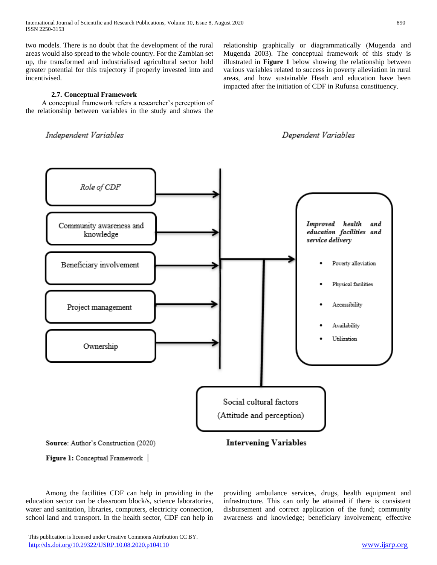two models. There is no doubt that the development of the rural areas would also spread to the whole country. For the Zambian set up, the transformed and industrialised agricultural sector hold greater potential for this trajectory if properly invested into and incentivised.

# **2.7. Conceptual Framework**

 A conceptual framework refers a researcher's perception of the relationship between variables in the study and shows the

Independent Variables

relationship graphically or diagrammatically (Mugenda and Mugenda 2003). The conceptual framework of this study is illustrated in **Figure 1** below showing the relationship between various variables related to success in poverty alleviation in rural areas, and how sustainable Heath and education have been impacted after the initiation of CDF in Rufunsa constituency.





 Among the facilities CDF can help in providing in the education sector can be classroom block/s, science laboratories, water and sanitation, libraries, computers, electricity connection,

school land and transport. In the health sector, CDF can help in

providing ambulance services, drugs, health equipment and infrastructure. This can only be attained if there is consistent disbursement and correct application of the fund; community awareness and knowledge; beneficiary involvement; effective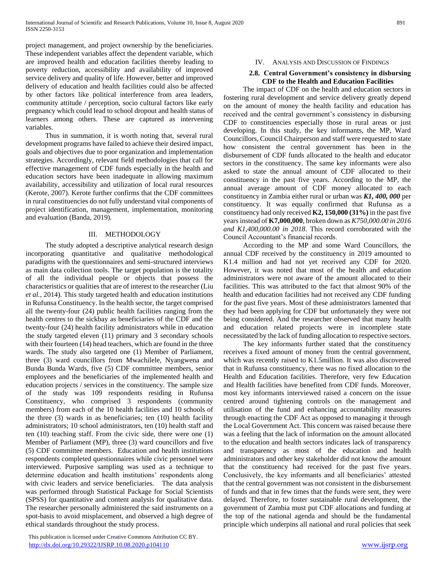project management, and project ownership by the beneficiaries. These independent variables affect the dependent variable, which are improved health and education facilities thereby leading to poverty reduction, accessibility and availability of improved service delivery and quality of life. However, better and improved delivery of education and health facilities could also be affected by other factors like political interference from area leaders, community attitude / perception, socio cultural factors like early pregnancy which could lead to school dropout and health status of learners among others. These are captured as intervening variables.

 Thus in summation, it is worth noting that, several rural development programs have failed to achieve their desired impact, goals and objectives due to poor organization and implementation strategies. Accordingly, relevant field methodologies that call for effective management of CDF funds especially in the health and education sectors have been inadequate in allowing maximum availability, accessibility and utilization of local rural resources (Kerote, 2007). Kerote further confirms that the CDF committees in rural constituencies do not fully understand vital components of project identification, management, implementation, monitoring and evaluation (Banda, 2019).

#### III. METHODOLOGY

 The study adopted a descriptive analytical research design incorporating quantitative and qualitative methodological paradigms with the questionnaires and semi-structured interviews as main data collection tools. The target population is the totality of all the individual people or objects that possess the characteristics or qualities that are of interest to the researcher (Liu *et al.*, 2014). This study targeted health and education institutions in Rufunsa Constituency. In the health sector, the target comprised all the twenty-four (24) public health facilities ranging from the health centres to the sickbay as beneficiaries of the CDF and the twenty-four (24) health facility administrators while in education the study targeted eleven (11) primary and 3 secondary schools with their fourteen (14) head teachers, which are found in the three wards. The study also targeted one (1) Member of Parliament, three (3) ward councillors from Mwachilele, Nyangwena and Bunda Bunda Wards, five (5) CDF committee members, senior employees and the beneficiaries of the implemented health and education projects / services in the constituency. The sample size of the study was 109 respondents residing in Rufunsa Constituency, who comprised 3 respondents (community members) from each of the 10 health facilities and 10 schools of the three (3) wards in as beneficiaries; ten (10) health facility administrators; 10 school administrators, ten (10) health staff and ten (10) teaching staff. From the civic side, there were one (1) Member of Parliament (MP), three (3) ward councillors and five (5) CDF committee members. Education and health institutions respondents completed questionnaires while civic personnel were interviewed. Purposive sampling was used as a technique to determine education and health institutions' respondents along with civic leaders and service beneficiaries. The data analysis was performed through Statistical Package for Social Scientists (SPSS) for quantitative and content analysis for qualitative data. The researcher personally administered the said instruments on a spot-basis to avoid misplacement, and observed a high degree of ethical standards throughout the study process.

#### IV. ANALYSIS AND DISCUSSION OF FINDINGS

#### **2.8. Central Government's consistency in disbursing CDF to the Health and Education Facilities**

 The impact of CDF on the health and education sectors in fostering rural development and service delivery greatly depend on the amount of money the health facility and education has received and the central government's consistency in disbursing CDF to constituencies especially those in rural areas or just developing. In this study, the key informants, the MP, Ward Councillors, Council Chairperson and staff were requested to state how consistent the central government has been in the disbursement of CDF funds allocated to the health and educator sectors in the constituency. The same key informants were also asked to state the annual amount of CDF allocated to their constituency in the past five years. According to the MP, the annual average amount of CDF money allocated to each constituency in Zambia either rural or urban was *K1, 400, 000* per constituency. It was equally confirmed that Rufunsa as a constituency had only received **K2, 150,000 (31%)** in the past five years instead of **K7,000,000**, broken down as *K750,000.00 in 2016 and K1,400,000.00 in 2018*. This record corroborated with the Council Accountant's financial records.

 According to the MP and some Ward Councillors, the annual CDF received by the constituency in 2019 amounted to K1.4 million and had not yet received any CDF for 2020. However, it was noted that most of the health and education administrators were not aware of the amount allocated to their facilities. This was attributed to the fact that almost 90% of the health and education facilities had not received any CDF funding for the past five years. Most of these administrators lamented that they had been applying for CDF but unfortunately they were not being considered. And the researcher observed that many health and education related projects were in incomplete state necessitated by the lack of funding allocation to respective sectors.

 The key informants further stated that the constituency receives a fixed amount of money from the central government, which was recently raised to K1.5million. It was also discovered that in Rufunsa constituency, there was no fixed allocation to the Health and Education facilities. Therefore, very few Education and Health facilities have benefited from CDF funds. Moreover, most key informants interviewed raised a concern on the issue centred around tightening controls on the management and utilisation of the fund and enhancing accountability measures through enacting the CDF Act as opposed to managing it through the Local Government Act. This concern was raised because there was a feeling that the lack of information on the amount allocated to the education and health sectors indicates lack of transparency and transparency as most of the education and health administrators and other key stakeholder did not know the amount that the constituency had received for the past five years. Conclusively, the key informants and all beneficiaries' attested that the central government was not consistent in the disbursement of funds and that in few times that the funds were sent, they were delayed. Therefore, to foster sustainable rural development, the government of Zambia must put CDF allocations and funding at the top of the national agenda and should be the fundamental principle which underpins all national and rural policies that seek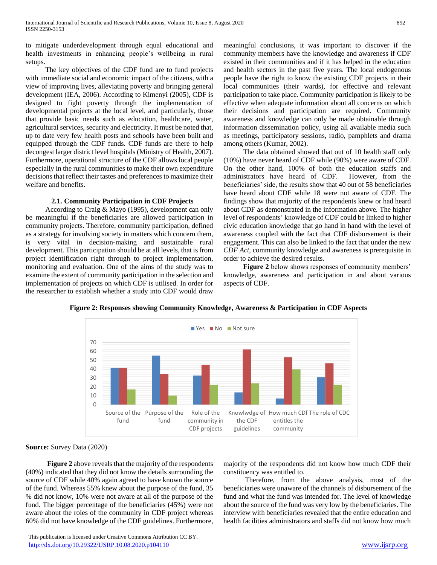to mitigate underdevelopment through equal educational and health investments in enhancing people's wellbeing in rural setups.

 The key objectives of the CDF fund are to fund projects with immediate social and economic impact of the citizens, with a view of improving lives, alleviating poverty and bringing general development (IEA, 2006). According to Kimenyi (2005), CDF is designed to fight poverty through the implementation of developmental projects at the local level, and particularly, those that provide basic needs such as education, healthcare, water, agricultural services, security and electricity. It must be noted that, up to date very few health posts and schools have been built and equipped through the CDF funds. CDF funds are there to help decongest larger district level hospitals (Ministry of Health, 2007). Furthermore, operational structure of the CDF allows local people especially in the rural communities to make their own expenditure decisions that reflect their tastes and preferences to maximize their welfare and benefits.

#### **2.1. Community Participation in CDF Projects**

 According to Craig & Mayo (1995), development can only be meaningful if the beneficiaries are allowed participation in community projects. Therefore, community participation, defined as a strategy for involving society in matters which concern them, is very vital in decision-making and sustainable rural development. This participation should be at all levels, that is from project identification right through to project implementation, monitoring and evaluation. One of the aims of the study was to examine the extent of community participation in the selection and implementation of projects on which CDF is utilised. In order for the researcher to establish whether a study into CDF would draw

meaningful conclusions, it was important to discover if the community members have the knowledge and awareness if CDF existed in their communities and if it has helped in the education and health sectors in the past five years. The local endogenous people have the right to know the existing CDF projects in their local communities (their wards), for effective and relevant participation to take place. Community participation is likely to be effective when adequate information about all concerns on which their decisions and participation are required. Community awareness and knowledge can only be made obtainable through information dissemination policy, using all available media such as meetings, participatory sessions, radio, pamphlets and drama among others (Kumar, 2002).

 The data obtained showed that out of 10 health staff only (10%) have never heard of CDF while (90%) were aware of CDF. On the other hand, 100% of both the education staffs and administrators have heard of CDF. However, from the beneficiaries' side, the results show that 40 out of 58 beneficiaries have heard about CDF while 18 were not aware of CDF. The findings show that majority of the respondents knew or had heard about CDF as demonstrated in the information above. The higher level of respondents' knowledge of CDF could be linked to higher civic education knowledge that go hand in hand with the level of awareness coupled with the fact that CDF disbursement is their engagement. This can also be linked to the fact that under the new *CDF Act*, community knowledge and awareness is prerequisite in order to achieve the desired results.

 **Figure 2** below shows responses of community members' knowledge, awareness and participation in and about various aspects of CDF.





**Source:** Survey Data (2020)

 **Figure 2** above reveals that the majority of the respondents (40%) indicated that they did not know the details surrounding the source of CDF while 40% again agreed to have known the source of the fund. Whereas 55% knew about the purpose of the fund, 35 % did not know, 10% were not aware at all of the purpose of the fund. The bigger percentage of the beneficiaries (45%) were not aware about the roles of the community in CDF project whereas 60% did not have knowledge of the CDF guidelines. Furthermore,

majority of the respondents did not know how much CDF their constituency was entitled to.

Therefore, from the above analysis, most of the beneficiaries were unaware of the channels of disbursement of the fund and what the fund was intended for. The level of knowledge about the source of the fund was very low by the beneficiaries. The interview with beneficiaries revealed that the entire education and health facilities administrators and staffs did not know how much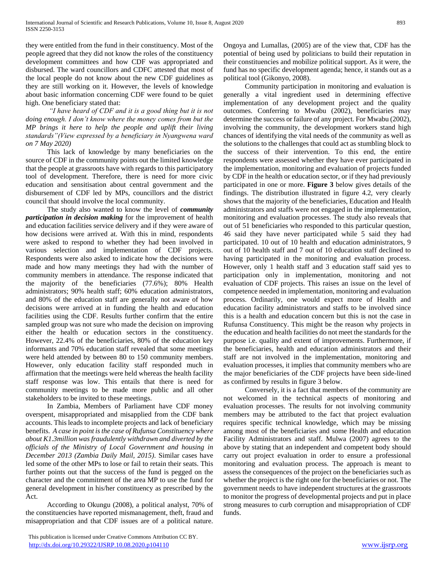they were entitled from the fund in their constituency. Most of the people agreed that they did not know the roles of the constituency development committees and how CDF was appropriated and disbursed. The ward councillors and CDFC attested that most of the local people do not know about the new CDF guidelines as they are still working on it. However, the levels of knowledge about basic information concerning CDF were found to be quiet high. One beneficiary stated that:

*"I have heard of CDF and it is a good thing but it is not doing enough. I don't know where the money comes from but the MP brings it here to help the people and uplift their living standards"(View expressed by a beneficiary in Nyangwena ward on 7 May 2020)*

This lack of knowledge by many beneficiaries on the source of CDF in the community points out the limited knowledge that the people at grassroots have with regards to this participatory tool of development. Therefore, there is need for more civic education and sensitisation about central government and the disbursement of CDF led by MPs, councillors and the district council that should involve the local community.

The study also wanted to know the level of *community participation in decision making* for the improvement of health and education facilities service delivery and if they were aware of how decisions were arrived at. With this in mind, respondents were asked to respond to whether they had been involved in various selection and implementation of CDF projects. Respondents were also asked to indicate how the decisions were made and how many meetings they had with the number of community members in attendance. The response indicated that the majority of the beneficiaries (77.6%); 80% Health administrators; 90% health staff; 60% education administrators, and 80% of the education staff are generally not aware of how decisions were arrived at in funding the health and education facilities using the CDF. Results further confirm that the entire sampled group was not sure who made the decision on improving either the health or education sectors in the constituency. However, 22.4% of the beneficiaries, 80% of the education key informants and 70% education staff revealed that some meetings were held attended by between 80 to 150 community members. However, only education facility staff responded much in affirmation that the meetings were held whereas the health facility staff response was low. This entails that there is need for community meetings to be made more public and all other stakeholders to be invited to these meetings.

In Zambia, Members of Parliament have CDF money overspent, misappropriated and misapplied from the CDF bank accounts. This leads to incomplete projects and lack of beneficiary benefits. *A case in point is the case of Rufunsa Constituency where about K1.3million was fraudulently withdrawn and diverted by the officials of the Ministry of Local Government and housing in December 2013 (Zambia Daily Mail, 2015)*. Similar cases have led some of the other MPs to lose or fail to retain their seats. This further points out that the success of the fund is pegged on the character and the commitment of the area MP to use the fund for general development in his/her constituency as prescribed by the Act.

According to Okungu (2008), a political analyst, 70% of the constituencies have reported mismanagement, theft, fraud and misappropriation and that CDF issues are of a political nature.

Ongoya and Lumallas, (2005) are of the view that, CDF has the potential of being used by politicians to build their reputation in their constituencies and mobilize political support. As it were, the fund has no specific development agenda; hence, it stands out as a political tool (Gikonyo, 2008).

Community participation in monitoring and evaluation is generally a vital ingredient used in determining effective implementation of any development project and the quality outcomes. Conferring to Mwabu (2002), beneficiaries may determine the success or failure of any project. For Mwabu (2002), involving the community, the development workers stand high chances of identifying the vital needs of the community as well as the solutions to the challenges that could act as stumbling block to the success of their intervention. To this end, the entire respondents were assessed whether they have ever participated in the implementation, monitoring and evaluation of projects funded by CDF in the health or education sector, or if they had previously participated in one or more. **Figure 3** below gives details of the findings. The distribution illustrated in figure 4.2, very clearly shows that the majority of the beneficiaries, Education and Health administrators and staffs were not engaged in the implementation, monitoring and evaluation processes. The study also reveals that out of 51 beneficiaries who responded to this particular question, 46 said they have never participated while 5 said they had participated. 10 out of 10 health and education administrators, 9 out of 10 health staff and 7 out of 10 education staff declined to having participated in the monitoring and evaluation process. However, only 1 health staff and 3 education staff said yes to participation only in implementation, monitoring and not evaluation of CDF projects. This raises an issue on the level of competence needed in implementation, monitoring and evaluation process. Ordinarily, one would expect more of Health and education facility administrators and staffs to be involved since this is a health and education concern but this is not the case in Rufunsa Constituency. This might be the reason why projects in the education and health facilities do not meet the standards for the purpose i.e. quality and extent of improvements. Furthermore, if the beneficiaries, health and education administrators and their staff are not involved in the implementation, monitoring and evaluation processes, it implies that community members who are the major beneficiaries of the CDF projects have been side-lined as confirmed by results in figure 3 below.

Conversely, it is a fact that members of the community are not welcomed in the technical aspects of monitoring and evaluation processes. The results for not involving community members may be attributed to the fact that project evaluation requires specific technical knowledge, which may be missing among most of the beneficiaries and some Health and education Facility Administrators and staff. Mulwa (2007) agrees to the above by stating that an independent and competent body should carry out project evaluation in order to ensure a professional monitoring and evaluation process. The approach is meant to assess the consequences of the project on the beneficiaries such as whether the project is the right one for the beneficiaries or not. The government needs to have independent structures at the grassroots to monitor the progress of developmental projects and put in place strong measures to curb corruption and misappropriation of CDF funds.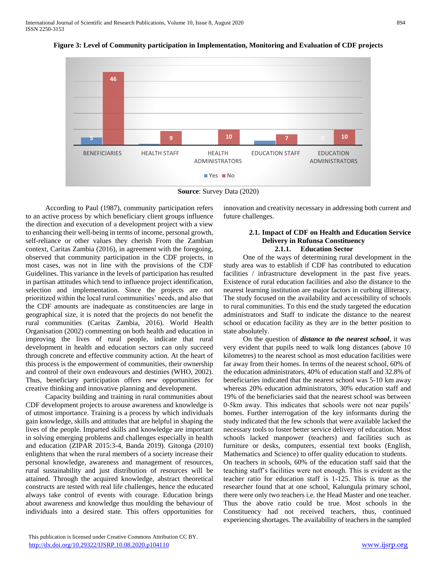

**Figure 3: Level of Community participation in Implementation, Monitoring and Evaluation of CDF projects**



 According to Paul (1987), community participation refers to an active process by which beneficiary client groups influence the direction and execution of a development project with a view to enhancing their well-being in terms of income, personal growth, self-reliance or other values they cherish From the Zambian context, Caritas Zambia (2016), in agreement with the foregoing, observed that community participation in the CDF projects, in most cases, was not in line with the provisions of the CDF Guidelines. This variance in the levels of participation has resulted in partisan attitudes which tend to influence project identification, selection and implementation. Since the projects are not prioritized within the local rural communities' needs, and also that the CDF amounts are inadequate as constituencies are large in geographical size, it is noted that the projects do not benefit the rural communities (Caritas Zambia, 2016). World Health Organisation (2002) commenting on both health and education in improving the lives of rural people, indicate that rural development in health and education sectors can only succeed through concrete and effective community action. At the heart of this process is the empowerment of communities, their ownership and control of their own endeavours and destinies (WHO, 2002). Thus, beneficiary participation offers new opportunities for creative thinking and innovative planning and development.

 Capacity building and training in rural communities about CDF development projects to arouse awareness and knowledge is of utmost importance. Training is a process by which individuals gain knowledge, skills and attitudes that are helpful in shaping the lives of the people. Imparted skills and knowledge are important in solving emerging problems and challenges especially in health and education (ZIPAR 2015:3-4, Banda 2019). Gitonga (2010) enlightens that when the rural members of a society increase their personal knowledge, awareness and management of resources, rural sustainability and just distribution of resources will be attained. Through the acquired knowledge, abstract theoretical constructs are tested with real life challenges, hence the educated always take control of events with courage. Education brings about awareness and knowledge thus moulding the behaviour of individuals into a desired state. This offers opportunities for innovation and creativity necessary in addressing both current and future challenges.

## **2.1. Impact of CDF on Health and Education Service Delivery in Rufunsa Constituency 2.1.1. Education Sector**

 One of the ways of determining rural development in the study area was to establish if CDF has contributed to education facilities / infrastructure development in the past five years. Existence of rural education facilities and also the distance to the nearest learning institution are major factors in curbing illiteracy. The study focused on the availability and accessibility of schools to rural communities. To this end the study targeted the education administrators and Staff to indicate the distance to the nearest school or education facility as they are in the better position to state absolutely.

 On the question of *distance to the nearest school*, it was very evident that pupils need to walk long distances (above 10 kilometres) to the nearest school as most education facilities were far away from their homes. In terms of the nearest school, 60% of the education administrators, 40% of education staff and 32.8% of beneficiaries indicated that the nearest school was 5-10 km away whereas 20% education administrators, 30% education staff and 19% of the beneficiaries said that the nearest school was between 0-5km away. This indicates that schools were not near pupils' homes. Further interrogation of the key informants during the study indicated that the few schools that were available lacked the necessary tools to foster better service delivery of education. Most schools lacked manpower (teachers) and facilities such as furniture or desks, computers, essential text books (English, Mathematics and Science) to offer quality education to students. On teachers in schools, 60% of the education staff said that the teaching staff's facilities were not enough. This is evident as the teacher ratio for education staff is 1-125. This is true as the researcher found that at one school, Kalungula primary school, there were only two teachers i.e. the Head Master and one teacher. Thus the above ratio could be true. Most schools in the Constituency had not received teachers, thus, continued experiencing shortages. The availability of teachers in the sampled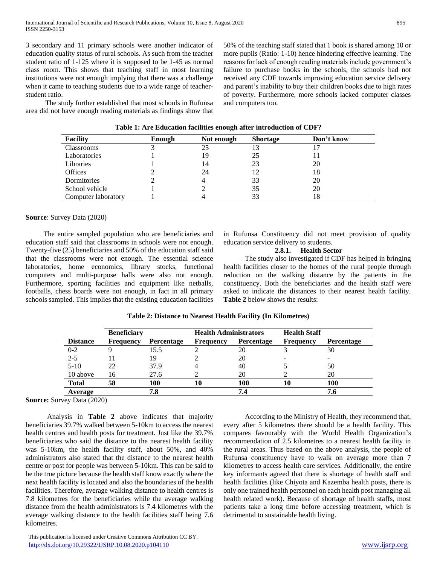3 secondary and 11 primary schools were another indicator of education quality status of rural schools. As such from the teacher student ratio of 1-125 where it is supposed to be 1-45 as normal class room. This shows that teaching staff in most learning institutions were not enough implying that there was a challenge when it came to teaching students due to a wide range of teacherstudent ratio.

 The study further established that most schools in Rufunsa area did not have enough reading materials as findings show that 50% of the teaching staff stated that 1 book is shared among 10 or more pupils (Ratio: 1-10) hence hindering effective learning. The reasons for lack of enough reading materials include government's failure to purchase books in the schools, the schools had not received any CDF towards improving education service delivery and parent's inability to buy their children books due to high rates of poverty. Furthermore, more schools lacked computer classes and computers too.

| <b>Facility</b>     | Enough | Not enough | <b>Shortage</b> | Don't know |  |
|---------------------|--------|------------|-----------------|------------|--|
| Classrooms          |        | 25         | 13              |            |  |
| Laboratories        |        | 19         | 25              |            |  |
| Libraries           |        | 14         | 23              | 20         |  |
| <b>Offices</b>      |        | 24         | 12              | 18         |  |
| Dormitories         |        |            | 33              | 20         |  |
| School vehicle      |        |            | 35              | 20         |  |
| Computer laboratory |        |            | 33              | 18         |  |

**Table 1: Are Education facilities enough after introduction of CDF?**

#### **Source**: Survey Data (2020)

 The entire sampled population who are beneficiaries and education staff said that classrooms in schools were not enough. Twenty-five (25) beneficiaries and 50% of the education staff said that the classrooms were not enough. The essential science laboratories, home economics, library stocks, functional computers and multi-purpose halls were also not enough. Furthermore, sporting facilities and equipment like netballs, footballs, chess boards were not enough, in fact in all primary schools sampled. This implies that the existing education facilities in Rufunsa Constituency did not meet provision of quality education service delivery to students.

## **2.8.1. Health Sector**

 The study also investigated if CDF has helped in bringing health facilities closer to the homes of the rural people through reduction on the walking distance by the patients in the constituency. Both the beneficiaries and the health staff were asked to indicate the distances to their nearest health facility. **Table 2** below shows the results:

| <b>Beneficiary</b> |                  | <b>Health Administrators</b> |                  | <b>Health Staff</b> |                  |                   |
|--------------------|------------------|------------------------------|------------------|---------------------|------------------|-------------------|
| <b>Distance</b>    | <b>Frequency</b> | Percentage                   | <b>Frequency</b> | <b>Percentage</b>   | <b>Frequency</b> | <b>Percentage</b> |
| $0 - 2$            |                  | 15.5                         |                  | 20                  |                  | 30                |
| $2 - 5$            |                  | 19                           |                  | 20                  |                  |                   |
| $5 - 10$           | 22               | 37.9                         |                  | 40                  |                  | 50                |
| 10 above           | 16               | 27.6                         |                  | 20                  |                  | 20                |
| <b>Total</b>       | 58               | 100                          | 10               | 100                 | 10               | 100               |
| Average            |                  | 7.8                          |                  | 7.4                 |                  | 7.6               |

# **Table 2: Distance to Nearest Health Facility (In Kilometres)**

**Source:** Survey Data (2020)

 Analysis in **Table 2** above indicates that majority beneficiaries 39.7% walked between 5-10km to access the nearest health centres and health posts for treatment. Just like the 39.7% beneficiaries who said the distance to the nearest health facility was 5-10km, the health facility staff, about 50%, and 40% administrators also stated that the distance to the nearest health centre or post for people was between 5-10km. This can be said to be the true picture because the health staff know exactly where the next health facility is located and also the boundaries of the health facilities. Therefore, average walking distance to health centres is 7.8 kilometres for the beneficiaries while the average walking distance from the health administrators is 7.4 kilometres with the average walking distance to the health facilities staff being 7.6 kilometres.

 According to the Ministry of Health, they recommend that, every after 5 kilometres there should be a health facility. This compares favourably with the World Health Organization's recommendation of 2.5 kilometres to a nearest health facility in the rural areas. Thus based on the above analysis, the people of Rufunsa constituency have to walk on average more than 7 kilometres to access health care services. Additionally, the entire key informants agreed that there is shortage of health staff and health facilities (like Chiyota and Kazemba health posts, there is only one trained health personnel on each health post managing all health related work). Because of shortage of health staffs, most patients take a long time before accessing treatment, which is detrimental to sustainable health living.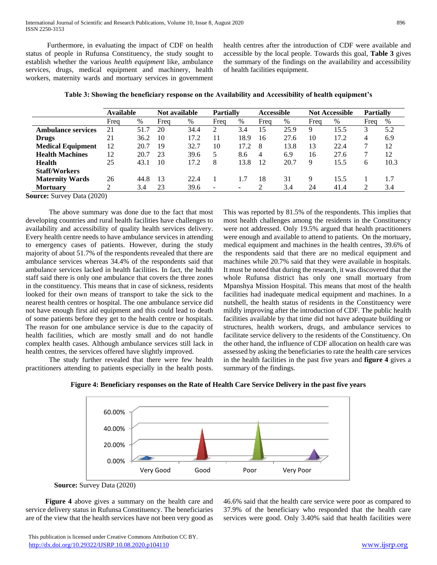Furthermore, in evaluating the impact of CDF on health status of people in Rufunsa Constituency, the study sought to establish whether the various *health equipment* like, ambulance services, drugs, medical equipment and machinery, health workers, maternity wards and mortuary services in government health centres after the introduction of CDF were available and accessible by the local people. Towards this goal, **Table 3** gives the summary of the findings on the availability and accessibility of health facilities equipment.

|                           | <b>Available</b> |      | Not available |      | <b>Partially</b>         |      | <b>Accessible</b> |      | <b>Not Accessible</b> |      | <b>Partially</b> |      |
|---------------------------|------------------|------|---------------|------|--------------------------|------|-------------------|------|-----------------------|------|------------------|------|
|                           | Freq             | %    | Freq          | $\%$ | Frea                     | %    | Freq              | $\%$ | Freq                  | $\%$ | Frea             | $\%$ |
| <b>Ambulance services</b> | 21               | 51.7 | 20            | 34.4 | 2                        | 3.4  | 15                | 25.9 | 9                     | 15.5 |                  | 5.2  |
| <b>Drugs</b>              | 21               | 36.2 | 10            | 17.2 |                          | 18.9 | 16                | 27.6 | 10                    | 17.2 | 4                | 6.9  |
| <b>Medical Equipment</b>  | 12               | 20.7 | 19            | 32.7 | 10                       | 17.2 | 8                 | 13.8 | 13                    | 22.4 |                  | 12   |
| <b>Health Machines</b>    | 12               | 20.7 | 23            | 39.6 |                          | 8.6  | 4                 | 6.9  | 16                    | 27.6 |                  | 12   |
| Health                    | 25               | 43.1 | 10            | 17.2 | 8                        | 13.8 | 12                | 20.7 | 9                     | 15.5 | 6                | 10.3 |
| <b>Staff/Workers</b>      |                  |      |               |      |                          |      |                   |      |                       |      |                  |      |
| <b>Maternity Wards</b>    | 26               | 44.8 | 13            | 22.4 |                          | 1.7  | 18                | 31   | 9                     | 15.5 |                  | 1.7  |
| <b>Mortuary</b>           |                  | 3.4  | 23            | 39.6 | $\overline{\phantom{a}}$ | ۰    |                   | 3.4  | 24                    | 41.4 |                  | 3.4  |

**Table 3: Showing the beneficiary response on the Availability and Accessibility of health equipment's**

**Source:** Survey Data (2020)

 The above summary was done due to the fact that most developing countries and rural health facilities have challenges to availability and accessibility of quality health services delivery. Every health centre needs to have ambulance services in attending to emergency cases of patients. However, during the study majority of about 51.7% of the respondents revealed that there are ambulance services whereas 34.4% of the respondents said that ambulance services lacked in health facilities. In fact, the health staff said there is only one ambulance that covers the three zones in the constituency. This means that in case of sickness, residents looked for their own means of transport to take the sick to the nearest health centres or hospital. The one ambulance service did not have enough first aid equipment and this could lead to death of some patients before they get to the health centre or hospitals. The reason for one ambulance service is due to the capacity of health facilities, which are mostly small and do not handle complex health cases. Although ambulance services still lack in health centres, the services offered have slightly improved.

 The study further revealed that there were few health practitioners attending to patients especially in the health posts. This was reported by 81.5% of the respondents. This implies that most health challenges among the residents in the Constituency were not addressed. Only 19.5% argued that health practitioners were enough and available to attend to patients. On the mortuary, medical equipment and machines in the health centres, 39.6% of the respondents said that there are no medical equipment and machines while 20.7% said that they were available in hospitals. It must be noted that during the research, it was discovered that the whole Rufunsa district has only one small mortuary from Mpanshya Mission Hospital. This means that most of the health facilities had inadequate medical equipment and machines. In a nutshell, the health status of residents in the Constituency were mildly improving after the introduction of CDF. The public health facilities available by that time did not have adequate building or structures, health workers, drugs, and ambulance services to facilitate service delivery to the residents of the Constituency. On the other hand, the influence of CDF allocation on health care was assessed by asking the beneficiaries to rate the health care services in the health facilities in the past five years and **figure 4** gives a summary of the findings.



**Figure 4: Beneficiary responses on the Rate of Health Care Service Delivery in the past five years**

 **Figure 4** above gives a summary on the health care and service delivery status in Rufunsa Constituency. The beneficiaries are of the view that the health services have not been very good as

 This publication is licensed under Creative Commons Attribution CC BY. <http://dx.doi.org/10.29322/IJSRP.10.08.2020.p104110> [www.ijsrp.org](http://ijsrp.org/)

46.6% said that the health care service were poor as compared to 37.9% of the beneficiary who responded that the health care services were good. Only 3.40% said that health facilities were

**Source:** Survey Data (2020)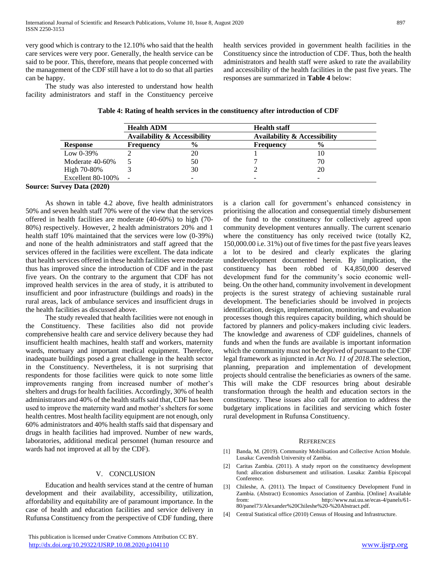very good which is contrary to the 12.10% who said that the health care services were very poor. Generally, the health service can be said to be poor. This, therefore, means that people concerned with the management of the CDF still have a lot to do so that all parties can be happy.

The study was also interested to understand how health facility administrators and staff in the Constituency perceive health services provided in government health facilities in the Constituency since the introduction of CDF. Thus, both the health administrators and health staff were asked to rate the availability and accessibility of the health facilities in the past five years. The responses are summarized in **Table 4** below:

|                   | <b>Health ADM</b>                       |               | <b>Health staff</b>                     |               |  |
|-------------------|-----------------------------------------|---------------|-----------------------------------------|---------------|--|
|                   | <b>Availability &amp; Accessibility</b> |               | <b>Availability &amp; Accessibility</b> |               |  |
| Response          | <b>Frequency</b>                        | $\frac{6}{9}$ | Frequency                               | $\frac{6}{9}$ |  |
| Low $0-39\%$      |                                         | 20            |                                         | 10            |  |
| Moderate 40-60%   |                                         | 50            |                                         | 70            |  |
| High 70-80%       |                                         | 30            |                                         | 20            |  |
| Excellent 80-100% |                                         |               |                                         |               |  |

# **Source: Survey Data (2020)**

 As shown in table 4.2 above, five health administrators 50% and seven health staff 70% were of the view that the services offered in health facilities are moderate (40-60%) to high (70- 80%) respectively. However, 2 health administrators 20% and 1 health staff 10% maintained that the services were low (0-39%) and none of the health administrators and staff agreed that the services offered in the facilities were excellent. The data indicate that health services offered in these health facilities were moderate thus has improved since the introduction of CDF and in the past five years. On the contrary to the argument that CDF has not improved health services in the area of study, it is attributed to insufficient and poor infrastructure (buildings and roads) in the rural areas, lack of ambulance services and insufficient drugs in the health facilities as discussed above.

 The study revealed that health facilities were not enough in the Constituency. These facilities also did not provide comprehensive health care and service delivery because they had insufficient health machines, health staff and workers, maternity wards, mortuary and important medical equipment. Therefore, inadequate buildings posed a great challenge in the health sector in the Constituency. Nevertheless, it is not surprising that respondents for those facilities were quick to note some little improvements ranging from increased number of mother's shelters and drugs for health facilities. Accordingly, 30% of health administrators and 40% of the health staffs said that, CDF has been used to improve the maternity ward and mother's shelters for some health centres. Most health facility equipment are not enough, only 60% administrators and 40% health staffs said that dispensary and drugs in health facilities had improved. Number of new wards, laboratories, additional medical personnel (human resource and wards had not improved at all by the CDF).

#### V. CONCLUSION

 Education and health services stand at the centre of human development and their availability, accessibility, utilization, affordability and equitability are of paramount importance. In the case of health and education facilities and service delivery in Rufunsa Constituency from the perspective of CDF funding, there is a clarion call for government's enhanced consistency in prioritising the allocation and consequential timely disbursement of the fund to the constituency for collectively agreed upon community development ventures annually. The current scenario where the constituency has only received twice (totally K2, 150,000.00 i.e. 31%) out of five times for the past five years leaves a lot to be desired and clearly explicates the glaring underdevelopment documented herein. By implication, the constituency has been robbed of K4,850,000 deserved development fund for the community's socio economic wellbeing. On the other hand, community involvement in development projects is the surest strategy of achieving sustainable rural development. The beneficiaries should be involved in projects identification, design, implementation, monitoring and evaluation processes though this requires capacity building, which should be factored by planners and policy-makers including civic leaders. The knowledge and awareness of CDF guidelines, channels of funds and when the funds are available is important information which the community must not be deprived of pursuant to the CDF legal framework as injuncted in *Act No. 11 of 2018*.The selection, planning, preparation and implementation of development projects should centralise the beneficiaries as owners of the same. This will make the CDF resources bring about desirable transformation through the health and education sectors in the constituency. These issues also call for attention to address the budgetary implications in facilities and servicing which foster rural development in Rufunsa Constituency.

#### **REFERENCES**

- [1] Banda, M. (2019). Community Mobilisation and Collective Action Module. Lusaka: Cavendish University of Zambia.
- [2] Caritas Zambia. (2011). A study report on the constituency development fund: allocation disbursement and utilisation. Lusaka: Zambia Episcopal Conference.
- [3] Chileshe, A. (2011). The Impact of Constituency Development Fund in Zambia. (Abstract) Economics Association of Zambia. [Online] Available from: http://www.nai.uu.se/ecas-4/panels/61- 80/panel73/Alexander%20Chileshe%20-%20Abstract.pdf.
- [4] Central Statistical office (2010) Census of Housing and Infrastructure.